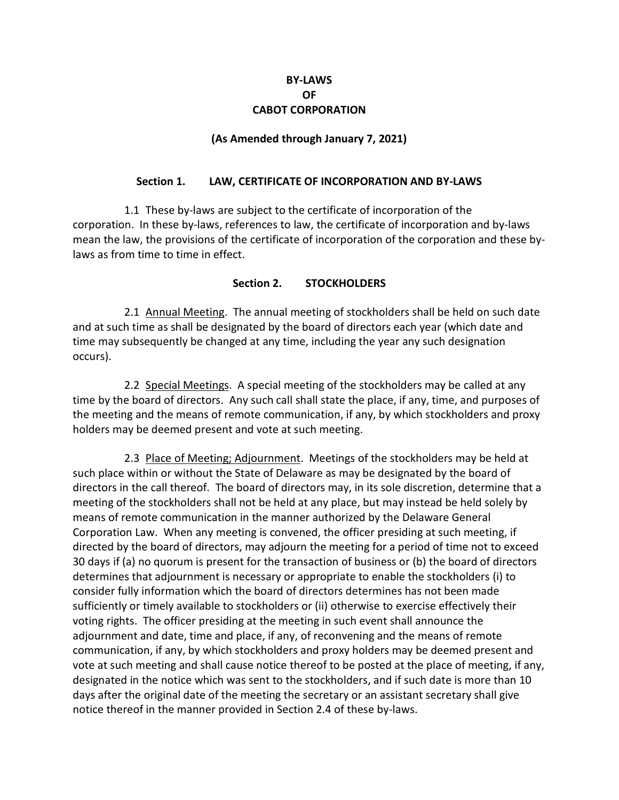#### **BY-LAWS OF CABOT CORPORATION**

#### **(As Amended through January 7, 2021)**

#### **Section 1. LAW, CERTIFICATE OF INCORPORATION AND BY-LAWS**

1.1 These by-laws are subject to the certificate of incorporation of the corporation. In these by-laws, references to law, the certificate of incorporation and by-laws mean the law, the provisions of the certificate of incorporation of the corporation and these bylaws as from time to time in effect.

#### **Section 2. STOCKHOLDERS**

2.1 Annual Meeting. The annual meeting of stockholders shall be held on such date and at such time as shall be designated by the board of directors each year (which date and time may subsequently be changed at any time, including the year any such designation occurs).

2.2 Special Meetings. A special meeting of the stockholders may be called at any time by the board of directors. Any such call shall state the place, if any, time, and purposes of the meeting and the means of remote communication, if any, by which stockholders and proxy holders may be deemed present and vote at such meeting.

2.3 Place of Meeting; Adjournment. Meetings of the stockholders may be held at such place within or without the State of Delaware as may be designated by the board of directors in the call thereof. The board of directors may, in its sole discretion, determine that a meeting of the stockholders shall not be held at any place, but may instead be held solely by means of remote communication in the manner authorized by the Delaware General Corporation Law. When any meeting is convened, the officer presiding at such meeting, if directed by the board of directors, may adjourn the meeting for a period of time not to exceed 30 days if (a) no quorum is present for the transaction of business or (b) the board of directors determines that adjournment is necessary or appropriate to enable the stockholders (i) to consider fully information which the board of directors determines has not been made sufficiently or timely available to stockholders or (ii) otherwise to exercise effectively their voting rights. The officer presiding at the meeting in such event shall announce the adjournment and date, time and place, if any, of reconvening and the means of remote communication, if any, by which stockholders and proxy holders may be deemed present and vote at such meeting and shall cause notice thereof to be posted at the place of meeting, if any, designated in the notice which was sent to the stockholders, and if such date is more than 10 days after the original date of the meeting the secretary or an assistant secretary shall give notice thereof in the manner provided in Section 2.4 of these by-laws.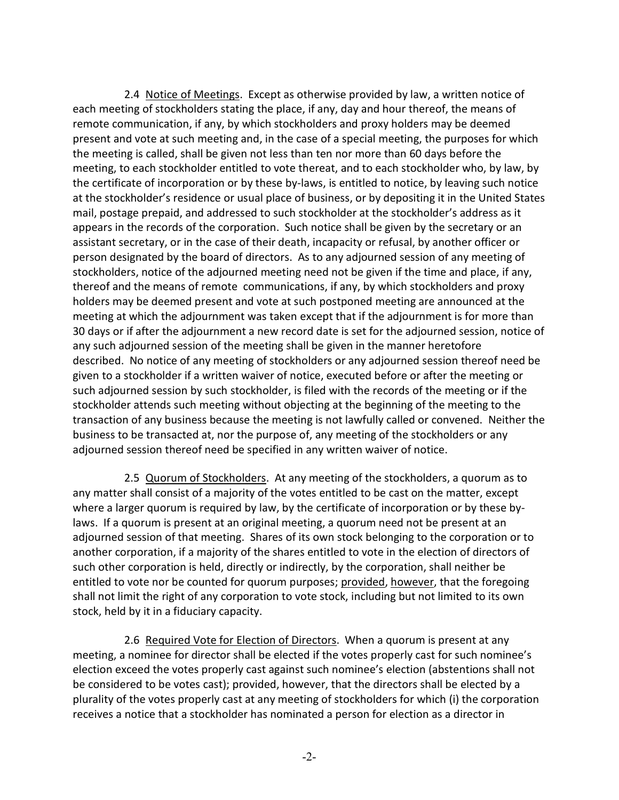2.4 Notice of Meetings. Except as otherwise provided by law, a written notice of each meeting of stockholders stating the place, if any, day and hour thereof, the means of remote communication, if any, by which stockholders and proxy holders may be deemed present and vote at such meeting and, in the case of a special meeting, the purposes for which the meeting is called, shall be given not less than ten nor more than 60 days before the meeting, to each stockholder entitled to vote thereat, and to each stockholder who, by law, by the certificate of incorporation or by these by-laws, is entitled to notice, by leaving such notice at the stockholder's residence or usual place of business, or by depositing it in the United States mail, postage prepaid, and addressed to such stockholder at the stockholder's address as it appears in the records of the corporation. Such notice shall be given by the secretary or an assistant secretary, or in the case of their death, incapacity or refusal, by another officer or person designated by the board of directors. As to any adjourned session of any meeting of stockholders, notice of the adjourned meeting need not be given if the time and place, if any, thereof and the means of remote communications, if any, by which stockholders and proxy holders may be deemed present and vote at such postponed meeting are announced at the meeting at which the adjournment was taken except that if the adjournment is for more than 30 days or if after the adjournment a new record date is set for the adjourned session, notice of any such adjourned session of the meeting shall be given in the manner heretofore described. No notice of any meeting of stockholders or any adjourned session thereof need be given to a stockholder if a written waiver of notice, executed before or after the meeting or such adjourned session by such stockholder, is filed with the records of the meeting or if the stockholder attends such meeting without objecting at the beginning of the meeting to the transaction of any business because the meeting is not lawfully called or convened. Neither the business to be transacted at, nor the purpose of, any meeting of the stockholders or any adjourned session thereof need be specified in any written waiver of notice.

2.5 Quorum of Stockholders. At any meeting of the stockholders, a quorum as to any matter shall consist of a majority of the votes entitled to be cast on the matter, except where a larger quorum is required by law, by the certificate of incorporation or by these bylaws. If a quorum is present at an original meeting, a quorum need not be present at an adjourned session of that meeting. Shares of its own stock belonging to the corporation or to another corporation, if a majority of the shares entitled to vote in the election of directors of such other corporation is held, directly or indirectly, by the corporation, shall neither be entitled to vote nor be counted for quorum purposes; provided, however, that the foregoing shall not limit the right of any corporation to vote stock, including but not limited to its own stock, held by it in a fiduciary capacity.

2.6 Required Vote for Election of Directors. When a quorum is present at any meeting, a nominee for director shall be elected if the votes properly cast for such nominee's election exceed the votes properly cast against such nominee's election (abstentions shall not be considered to be votes cast); provided, however, that the directors shall be elected by a plurality of the votes properly cast at any meeting of stockholders for which (i) the corporation receives a notice that a stockholder has nominated a person for election as a director in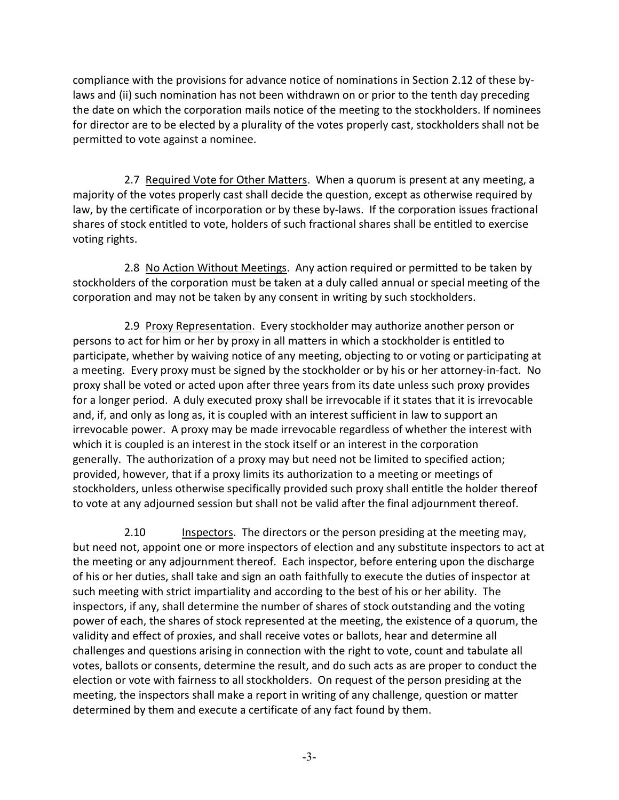compliance with the provisions for advance notice of nominations in Section 2.12 of these bylaws and (ii) such nomination has not been withdrawn on or prior to the tenth day preceding the date on which the corporation mails notice of the meeting to the stockholders. If nominees for director are to be elected by a plurality of the votes properly cast, stockholders shall not be permitted to vote against a nominee.

2.7 Required Vote for Other Matters. When a quorum is present at any meeting, a majority of the votes properly cast shall decide the question, except as otherwise required by law, by the certificate of incorporation or by these by-laws. If the corporation issues fractional shares of stock entitled to vote, holders of such fractional shares shall be entitled to exercise voting rights.

2.8 No Action Without Meetings. Any action required or permitted to be taken by stockholders of the corporation must be taken at a duly called annual or special meeting of the corporation and may not be taken by any consent in writing by such stockholders.

2.9 Proxy Representation. Every stockholder may authorize another person or persons to act for him or her by proxy in all matters in which a stockholder is entitled to participate, whether by waiving notice of any meeting, objecting to or voting or participating at a meeting. Every proxy must be signed by the stockholder or by his or her attorney-in-fact. No proxy shall be voted or acted upon after three years from its date unless such proxy provides for a longer period. A duly executed proxy shall be irrevocable if it states that it is irrevocable and, if, and only as long as, it is coupled with an interest sufficient in law to support an irrevocable power. A proxy may be made irrevocable regardless of whether the interest with which it is coupled is an interest in the stock itself or an interest in the corporation generally. The authorization of a proxy may but need not be limited to specified action; provided, however, that if a proxy limits its authorization to a meeting or meetings of stockholders, unless otherwise specifically provided such proxy shall entitle the holder thereof to vote at any adjourned session but shall not be valid after the final adjournment thereof.

2.10 Inspectors. The directors or the person presiding at the meeting may, but need not, appoint one or more inspectors of election and any substitute inspectors to act at the meeting or any adjournment thereof. Each inspector, before entering upon the discharge of his or her duties, shall take and sign an oath faithfully to execute the duties of inspector at such meeting with strict impartiality and according to the best of his or her ability. The inspectors, if any, shall determine the number of shares of stock outstanding and the voting power of each, the shares of stock represented at the meeting, the existence of a quorum, the validity and effect of proxies, and shall receive votes or ballots, hear and determine all challenges and questions arising in connection with the right to vote, count and tabulate all votes, ballots or consents, determine the result, and do such acts as are proper to conduct the election or vote with fairness to all stockholders. On request of the person presiding at the meeting, the inspectors shall make a report in writing of any challenge, question or matter determined by them and execute a certificate of any fact found by them.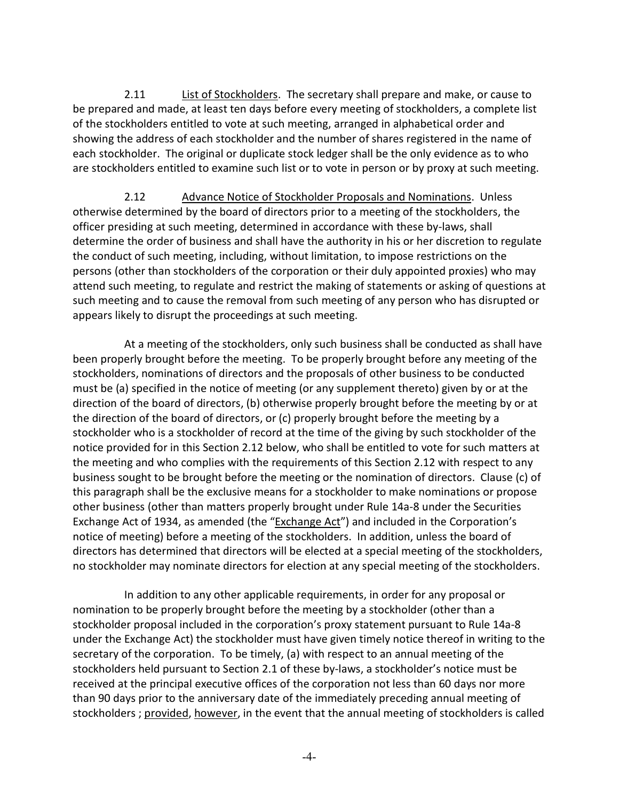2.11 List of Stockholders. The secretary shall prepare and make, or cause to be prepared and made, at least ten days before every meeting of stockholders, a complete list of the stockholders entitled to vote at such meeting, arranged in alphabetical order and showing the address of each stockholder and the number of shares registered in the name of each stockholder. The original or duplicate stock ledger shall be the only evidence as to who are stockholders entitled to examine such list or to vote in person or by proxy at such meeting.

2.12 Advance Notice of Stockholder Proposals and Nominations. Unless otherwise determined by the board of directors prior to a meeting of the stockholders, the officer presiding at such meeting, determined in accordance with these by-laws, shall determine the order of business and shall have the authority in his or her discretion to regulate the conduct of such meeting, including, without limitation, to impose restrictions on the persons (other than stockholders of the corporation or their duly appointed proxies) who may attend such meeting, to regulate and restrict the making of statements or asking of questions at such meeting and to cause the removal from such meeting of any person who has disrupted or appears likely to disrupt the proceedings at such meeting.

At a meeting of the stockholders, only such business shall be conducted as shall have been properly brought before the meeting. To be properly brought before any meeting of the stockholders, nominations of directors and the proposals of other business to be conducted must be (a) specified in the notice of meeting (or any supplement thereto) given by or at the direction of the board of directors, (b) otherwise properly brought before the meeting by or at the direction of the board of directors, or (c) properly brought before the meeting by a stockholder who is a stockholder of record at the time of the giving by such stockholder of the notice provided for in this Section 2.12 below, who shall be entitled to vote for such matters at the meeting and who complies with the requirements of this Section 2.12 with respect to any business sought to be brought before the meeting or the nomination of directors. Clause (c) of this paragraph shall be the exclusive means for a stockholder to make nominations or propose other business (other than matters properly brought under Rule 14a-8 under the Securities Exchange Act of 1934, as amended (the "Exchange Act") and included in the Corporation's notice of meeting) before a meeting of the stockholders. In addition, unless the board of directors has determined that directors will be elected at a special meeting of the stockholders, no stockholder may nominate directors for election at any special meeting of the stockholders.

In addition to any other applicable requirements, in order for any proposal or nomination to be properly brought before the meeting by a stockholder (other than a stockholder proposal included in the corporation's proxy statement pursuant to Rule 14a-8 under the Exchange Act) the stockholder must have given timely notice thereof in writing to the secretary of the corporation. To be timely, (a) with respect to an annual meeting of the stockholders held pursuant to Section 2.1 of these by-laws, a stockholder's notice must be received at the principal executive offices of the corporation not less than 60 days nor more than 90 days prior to the anniversary date of the immediately preceding annual meeting of stockholders ; provided, however, in the event that the annual meeting of stockholders is called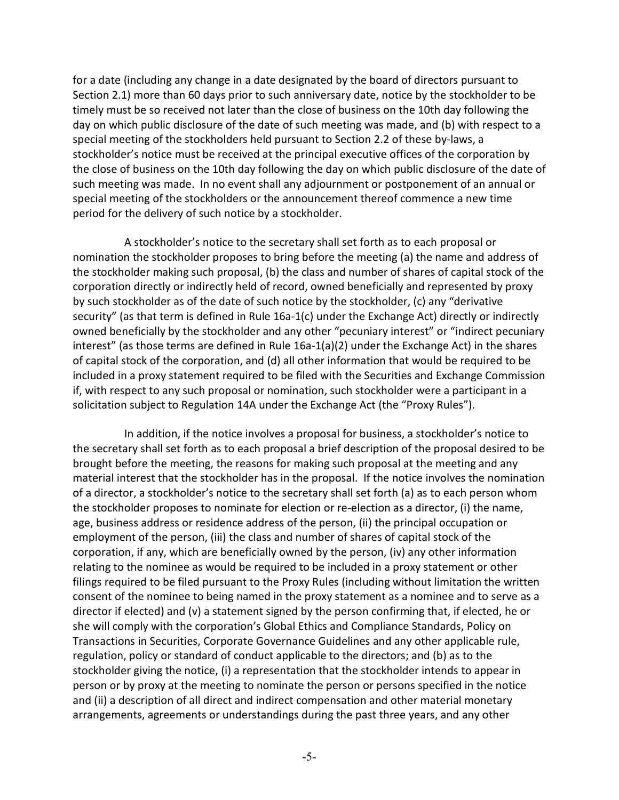for a date (including any change in a date designated by the board of directors pursuant to Section 2.1) more than 60 days prior to such anniversary date, notice by the stockholder to be timely must be so received not later than the close of business on the 10th day following the day on which public disclosure of the date of such meeting was made, and (b) with respect to a special meeting of the stockholders held pursuant to Section 2.2 of these by-laws, a stockholder's notice must be received at the principal executive offices of the corporation by the close of business on the 10th day following the day on which public disclosure of the date of such meeting was made. In no event shall any adjournment or postponement of an annual or special meeting of the stockholders or the announcement thereof commence a new time period for the delivery of such notice by a stockholder.

A stockholder's notice to the secretary shall set forth as to each proposal or nomination the stockholder proposes to bring before the meeting (a) the name and address of the stockholder making such proposal, (b) the class and number of shares of capital stock of the corporation directly or indirectly held of record, owned beneficially and represented by proxy by such stockholder as of the date of such notice by the stockholder, (c) any "derivative security" (as that term is defined in Rule 16a-1(c) under the Exchange Act) directly or indirectly owned beneficially by the stockholder and any other "pecuniary interest" or "indirect pecuniary interest" (as those terms are defined in Rule 16a-1(a)(2) under the Exchange Act) in the shares of capital stock of the corporation, and (d) all other information that would be required to be included in a proxy statement required to be filed with the Securities and Exchange Commission if, with respect to any such proposal or nomination, such stockholder were a participant in a solicitation subject to Regulation 14A under the Exchange Act (the "Proxy Rules").

In addition, if the notice involves a proposal for business, a stockholder's notice to the secretary shall set forth as to each proposal a brief description of the proposal desired to be brought before the meeting, the reasons for making such proposal at the meeting and any material interest that the stockholder has in the proposal. If the notice involves the nomination of a director, a stockholder's notice to the secretary shall set forth (a) as to each person whom the stockholder proposes to nominate for election or re-election as a director, (i) the name, age, business address or residence address of the person, (ii) the principal occupation or employment of the person, (iii) the class and number of shares of capital stock of the corporation, if any, which are beneficially owned by the person, (iv) any other information relating to the nominee as would be required to be included in a proxy statement or other filings required to be filed pursuant to the Proxy Rules (including without limitation the written consent of the nominee to being named in the proxy statement as a nominee and to serve as a director if elected) and (v) a statement signed by the person confirming that, if elected, he or she will comply with the corporation's Global Ethics and Compliance Standards, Policy on Transactions in Securities, Corporate Governance Guidelines and any other applicable rule, regulation, policy or standard of conduct applicable to the directors; and (b) as to the stockholder giving the notice, (i) a representation that the stockholder intends to appear in person or by proxy at the meeting to nominate the person or persons specified in the notice and (ii) a description of all direct and indirect compensation and other material monetary arrangements, agreements or understandings during the past three years, and any other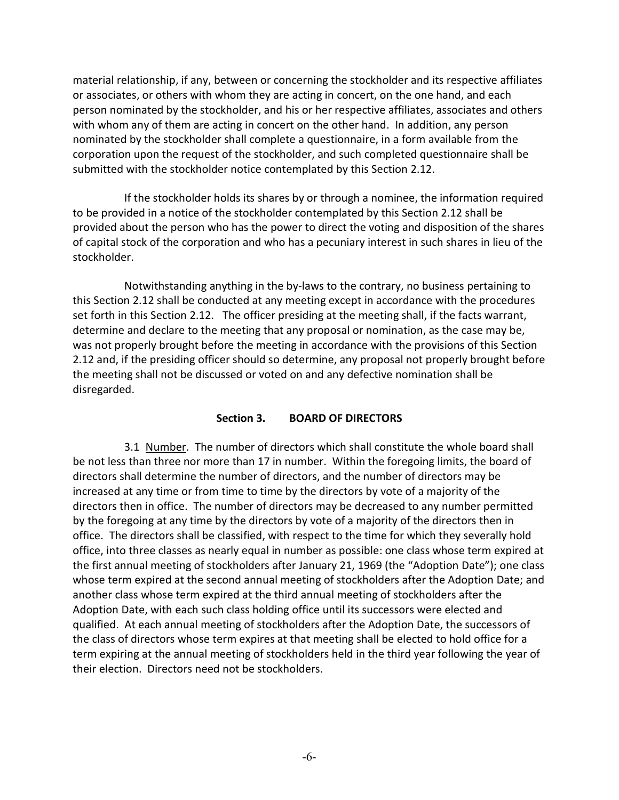material relationship, if any, between or concerning the stockholder and its respective affiliates or associates, or others with whom they are acting in concert, on the one hand, and each person nominated by the stockholder, and his or her respective affiliates, associates and others with whom any of them are acting in concert on the other hand. In addition, any person nominated by the stockholder shall complete a questionnaire, in a form available from the corporation upon the request of the stockholder, and such completed questionnaire shall be submitted with the stockholder notice contemplated by this Section 2.12.

If the stockholder holds its shares by or through a nominee, the information required to be provided in a notice of the stockholder contemplated by this Section 2.12 shall be provided about the person who has the power to direct the voting and disposition of the shares of capital stock of the corporation and who has a pecuniary interest in such shares in lieu of the stockholder.

Notwithstanding anything in the by-laws to the contrary, no business pertaining to this Section 2.12 shall be conducted at any meeting except in accordance with the procedures set forth in this Section 2.12. The officer presiding at the meeting shall, if the facts warrant, determine and declare to the meeting that any proposal or nomination, as the case may be, was not properly brought before the meeting in accordance with the provisions of this Section 2.12 and, if the presiding officer should so determine, any proposal not properly brought before the meeting shall not be discussed or voted on and any defective nomination shall be disregarded.

#### **Section 3. BOARD OF DIRECTORS**

3.1 Number. The number of directors which shall constitute the whole board shall be not less than three nor more than 17 in number. Within the foregoing limits, the board of directors shall determine the number of directors, and the number of directors may be increased at any time or from time to time by the directors by vote of a majority of the directors then in office. The number of directors may be decreased to any number permitted by the foregoing at any time by the directors by vote of a majority of the directors then in office. The directors shall be classified, with respect to the time for which they severally hold office, into three classes as nearly equal in number as possible: one class whose term expired at the first annual meeting of stockholders after January 21, 1969 (the "Adoption Date"); one class whose term expired at the second annual meeting of stockholders after the Adoption Date; and another class whose term expired at the third annual meeting of stockholders after the Adoption Date, with each such class holding office until its successors were elected and qualified. At each annual meeting of stockholders after the Adoption Date, the successors of the class of directors whose term expires at that meeting shall be elected to hold office for a term expiring at the annual meeting of stockholders held in the third year following the year of their election. Directors need not be stockholders.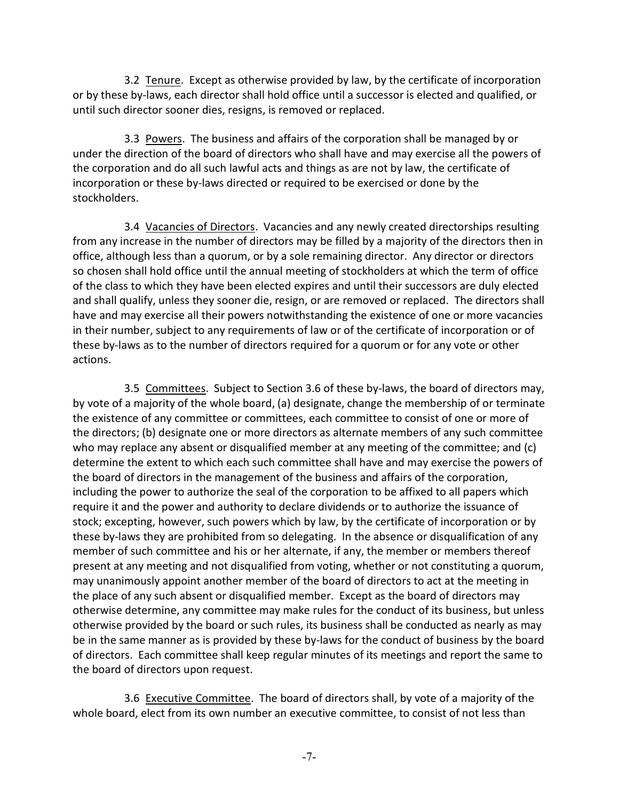3.2 Tenure. Except as otherwise provided by law, by the certificate of incorporation or by these by-laws, each director shall hold office until a successor is elected and qualified, or until such director sooner dies, resigns, is removed or replaced.

3.3 Powers. The business and affairs of the corporation shall be managed by or under the direction of the board of directors who shall have and may exercise all the powers of the corporation and do all such lawful acts and things as are not by law, the certificate of incorporation or these by-laws directed or required to be exercised or done by the stockholders.

3.4 Vacancies of Directors. Vacancies and any newly created directorships resulting from any increase in the number of directors may be filled by a majority of the directors then in office, although less than a quorum, or by a sole remaining director. Any director or directors so chosen shall hold office until the annual meeting of stockholders at which the term of office of the class to which they have been elected expires and until their successors are duly elected and shall qualify, unless they sooner die, resign, or are removed or replaced. The directors shall have and may exercise all their powers notwithstanding the existence of one or more vacancies in their number, subject to any requirements of law or of the certificate of incorporation or of these by-laws as to the number of directors required for a quorum or for any vote or other actions.

3.5 Committees. Subject to Section 3.6 of these by-laws, the board of directors may, by vote of a majority of the whole board, (a) designate, change the membership of or terminate the existence of any committee or committees, each committee to consist of one or more of the directors; (b) designate one or more directors as alternate members of any such committee who may replace any absent or disqualified member at any meeting of the committee; and (c) determine the extent to which each such committee shall have and may exercise the powers of the board of directors in the management of the business and affairs of the corporation, including the power to authorize the seal of the corporation to be affixed to all papers which require it and the power and authority to declare dividends or to authorize the issuance of stock; excepting, however, such powers which by law, by the certificate of incorporation or by these by-laws they are prohibited from so delegating. In the absence or disqualification of any member of such committee and his or her alternate, if any, the member or members thereof present at any meeting and not disqualified from voting, whether or not constituting a quorum, may unanimously appoint another member of the board of directors to act at the meeting in the place of any such absent or disqualified member. Except as the board of directors may otherwise determine, any committee may make rules for the conduct of its business, but unless otherwise provided by the board or such rules, its business shall be conducted as nearly as may be in the same manner as is provided by these by-laws for the conduct of business by the board of directors. Each committee shall keep regular minutes of its meetings and report the same to the board of directors upon request.

3.6 Executive Committee. The board of directors shall, by vote of a majority of the whole board, elect from its own number an executive committee, to consist of not less than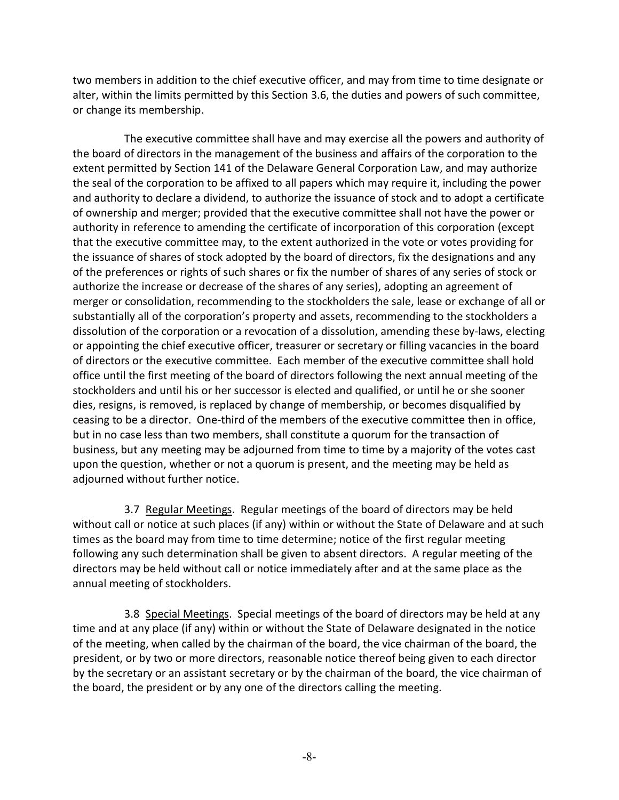two members in addition to the chief executive officer, and may from time to time designate or alter, within the limits permitted by this Section 3.6, the duties and powers of such committee, or change its membership.

The executive committee shall have and may exercise all the powers and authority of the board of directors in the management of the business and affairs of the corporation to the extent permitted by Section 141 of the Delaware General Corporation Law, and may authorize the seal of the corporation to be affixed to all papers which may require it, including the power and authority to declare a dividend, to authorize the issuance of stock and to adopt a certificate of ownership and merger; provided that the executive committee shall not have the power or authority in reference to amending the certificate of incorporation of this corporation (except that the executive committee may, to the extent authorized in the vote or votes providing for the issuance of shares of stock adopted by the board of directors, fix the designations and any of the preferences or rights of such shares or fix the number of shares of any series of stock or authorize the increase or decrease of the shares of any series), adopting an agreement of merger or consolidation, recommending to the stockholders the sale, lease or exchange of all or substantially all of the corporation's property and assets, recommending to the stockholders a dissolution of the corporation or a revocation of a dissolution, amending these by-laws, electing or appointing the chief executive officer, treasurer or secretary or filling vacancies in the board of directors or the executive committee. Each member of the executive committee shall hold office until the first meeting of the board of directors following the next annual meeting of the stockholders and until his or her successor is elected and qualified, or until he or she sooner dies, resigns, is removed, is replaced by change of membership, or becomes disqualified by ceasing to be a director. One-third of the members of the executive committee then in office, but in no case less than two members, shall constitute a quorum for the transaction of business, but any meeting may be adjourned from time to time by a majority of the votes cast upon the question, whether or not a quorum is present, and the meeting may be held as adjourned without further notice.

3.7 Regular Meetings. Regular meetings of the board of directors may be held without call or notice at such places (if any) within or without the State of Delaware and at such times as the board may from time to time determine; notice of the first regular meeting following any such determination shall be given to absent directors. A regular meeting of the directors may be held without call or notice immediately after and at the same place as the annual meeting of stockholders.

3.8 Special Meetings. Special meetings of the board of directors may be held at any time and at any place (if any) within or without the State of Delaware designated in the notice of the meeting, when called by the chairman of the board, the vice chairman of the board, the president, or by two or more directors, reasonable notice thereof being given to each director by the secretary or an assistant secretary or by the chairman of the board, the vice chairman of the board, the president or by any one of the directors calling the meeting.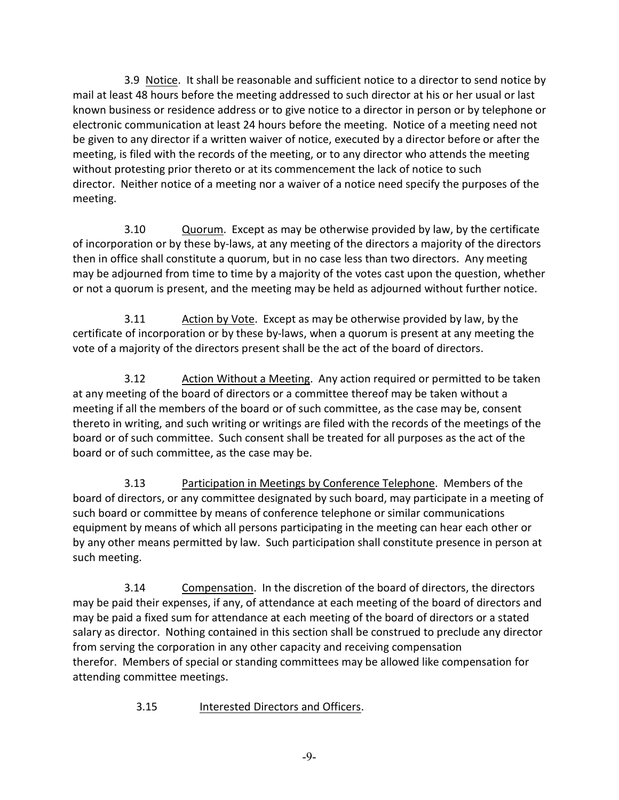3.9 Notice. It shall be reasonable and sufficient notice to a director to send notice by mail at least 48 hours before the meeting addressed to such director at his or her usual or last known business or residence address or to give notice to a director in person or by telephone or electronic communication at least 24 hours before the meeting. Notice of a meeting need not be given to any director if a written waiver of notice, executed by a director before or after the meeting, is filed with the records of the meeting, or to any director who attends the meeting without protesting prior thereto or at its commencement the lack of notice to such director. Neither notice of a meeting nor a waiver of a notice need specify the purposes of the meeting.

3.10 Quorum. Except as may be otherwise provided by law, by the certificate of incorporation or by these by-laws, at any meeting of the directors a majority of the directors then in office shall constitute a quorum, but in no case less than two directors. Any meeting may be adjourned from time to time by a majority of the votes cast upon the question, whether or not a quorum is present, and the meeting may be held as adjourned without further notice.

3.11 Action by Vote. Except as may be otherwise provided by law, by the certificate of incorporation or by these by-laws, when a quorum is present at any meeting the vote of a majority of the directors present shall be the act of the board of directors.

3.12 Action Without a Meeting. Any action required or permitted to be taken at any meeting of the board of directors or a committee thereof may be taken without a meeting if all the members of the board or of such committee, as the case may be, consent thereto in writing, and such writing or writings are filed with the records of the meetings of the board or of such committee. Such consent shall be treated for all purposes as the act of the board or of such committee, as the case may be.

3.13 Participation in Meetings by Conference Telephone. Members of the board of directors, or any committee designated by such board, may participate in a meeting of such board or committee by means of conference telephone or similar communications equipment by means of which all persons participating in the meeting can hear each other or by any other means permitted by law. Such participation shall constitute presence in person at such meeting.

3.14 Compensation. In the discretion of the board of directors, the directors may be paid their expenses, if any, of attendance at each meeting of the board of directors and may be paid a fixed sum for attendance at each meeting of the board of directors or a stated salary as director. Nothing contained in this section shall be construed to preclude any director from serving the corporation in any other capacity and receiving compensation therefor. Members of special or standing committees may be allowed like compensation for attending committee meetings.

3.15 Interested Directors and Officers.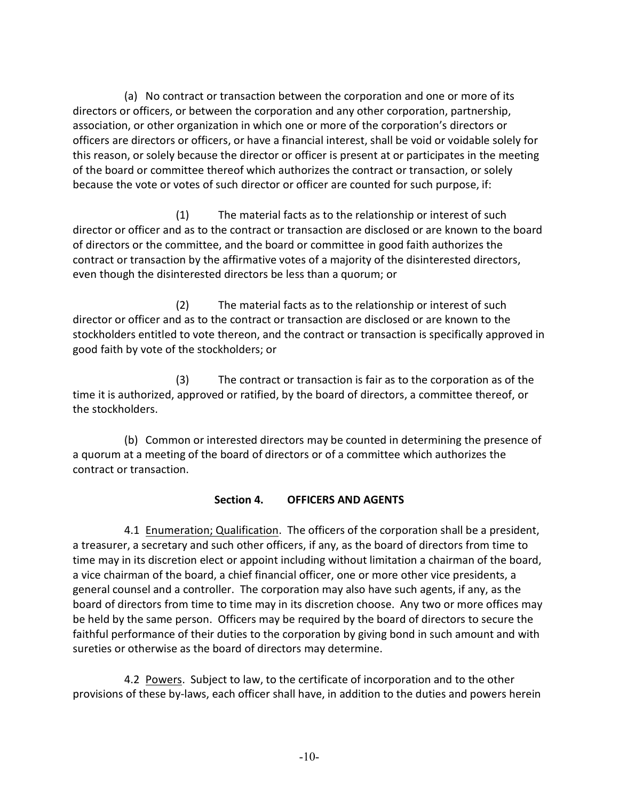(a) No contract or transaction between the corporation and one or more of its directors or officers, or between the corporation and any other corporation, partnership, association, or other organization in which one or more of the corporation's directors or officers are directors or officers, or have a financial interest, shall be void or voidable solely for this reason, or solely because the director or officer is present at or participates in the meeting of the board or committee thereof which authorizes the contract or transaction, or solely because the vote or votes of such director or officer are counted for such purpose, if:

(1) The material facts as to the relationship or interest of such director or officer and as to the contract or transaction are disclosed or are known to the board of directors or the committee, and the board or committee in good faith authorizes the contract or transaction by the affirmative votes of a majority of the disinterested directors, even though the disinterested directors be less than a quorum; or

(2) The material facts as to the relationship or interest of such director or officer and as to the contract or transaction are disclosed or are known to the stockholders entitled to vote thereon, and the contract or transaction is specifically approved in good faith by vote of the stockholders; or

(3) The contract or transaction is fair as to the corporation as of the time it is authorized, approved or ratified, by the board of directors, a committee thereof, or the stockholders.

(b) Common or interested directors may be counted in determining the presence of a quorum at a meeting of the board of directors or of a committee which authorizes the contract or transaction.

# **Section 4. OFFICERS AND AGENTS**

4.1 Enumeration; Qualification. The officers of the corporation shall be a president, a treasurer, a secretary and such other officers, if any, as the board of directors from time to time may in its discretion elect or appoint including without limitation a chairman of the board, a vice chairman of the board, a chief financial officer, one or more other vice presidents, a general counsel and a controller. The corporation may also have such agents, if any, as the board of directors from time to time may in its discretion choose. Any two or more offices may be held by the same person. Officers may be required by the board of directors to secure the faithful performance of their duties to the corporation by giving bond in such amount and with sureties or otherwise as the board of directors may determine.

4.2 Powers. Subject to law, to the certificate of incorporation and to the other provisions of these by-laws, each officer shall have, in addition to the duties and powers herein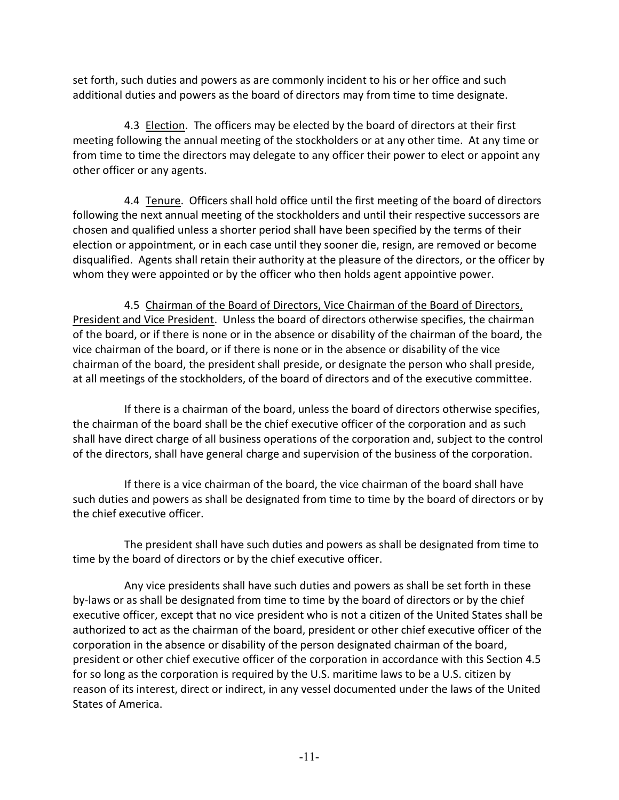set forth, such duties and powers as are commonly incident to his or her office and such additional duties and powers as the board of directors may from time to time designate.

4.3 Election. The officers may be elected by the board of directors at their first meeting following the annual meeting of the stockholders or at any other time. At any time or from time to time the directors may delegate to any officer their power to elect or appoint any other officer or any agents.

4.4 Tenure. Officers shall hold office until the first meeting of the board of directors following the next annual meeting of the stockholders and until their respective successors are chosen and qualified unless a shorter period shall have been specified by the terms of their election or appointment, or in each case until they sooner die, resign, are removed or become disqualified. Agents shall retain their authority at the pleasure of the directors, or the officer by whom they were appointed or by the officer who then holds agent appointive power.

4.5 Chairman of the Board of Directors, Vice Chairman of the Board of Directors, President and Vice President. Unless the board of directors otherwise specifies, the chairman of the board, or if there is none or in the absence or disability of the chairman of the board, the vice chairman of the board, or if there is none or in the absence or disability of the vice chairman of the board, the president shall preside, or designate the person who shall preside, at all meetings of the stockholders, of the board of directors and of the executive committee.

If there is a chairman of the board, unless the board of directors otherwise specifies, the chairman of the board shall be the chief executive officer of the corporation and as such shall have direct charge of all business operations of the corporation and, subject to the control of the directors, shall have general charge and supervision of the business of the corporation.

If there is a vice chairman of the board, the vice chairman of the board shall have such duties and powers as shall be designated from time to time by the board of directors or by the chief executive officer.

The president shall have such duties and powers as shall be designated from time to time by the board of directors or by the chief executive officer.

Any vice presidents shall have such duties and powers as shall be set forth in these by-laws or as shall be designated from time to time by the board of directors or by the chief executive officer, except that no vice president who is not a citizen of the United States shall be authorized to act as the chairman of the board, president or other chief executive officer of the corporation in the absence or disability of the person designated chairman of the board, president or other chief executive officer of the corporation in accordance with this Section 4.5 for so long as the corporation is required by the U.S. maritime laws to be a U.S. citizen by reason of its interest, direct or indirect, in any vessel documented under the laws of the United States of America.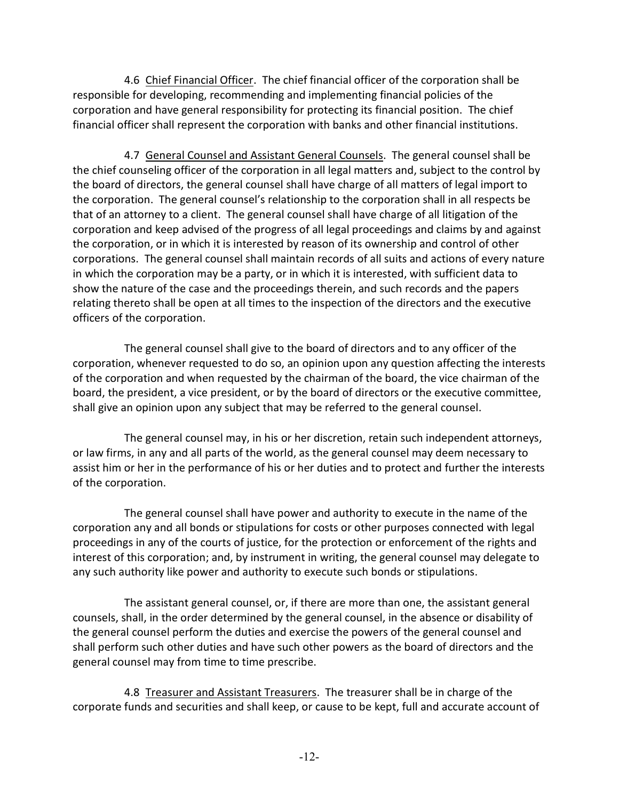4.6 Chief Financial Officer. The chief financial officer of the corporation shall be responsible for developing, recommending and implementing financial policies of the corporation and have general responsibility for protecting its financial position. The chief financial officer shall represent the corporation with banks and other financial institutions.

4.7 General Counsel and Assistant General Counsels. The general counsel shall be the chief counseling officer of the corporation in all legal matters and, subject to the control by the board of directors, the general counsel shall have charge of all matters of legal import to the corporation. The general counsel's relationship to the corporation shall in all respects be that of an attorney to a client. The general counsel shall have charge of all litigation of the corporation and keep advised of the progress of all legal proceedings and claims by and against the corporation, or in which it is interested by reason of its ownership and control of other corporations. The general counsel shall maintain records of all suits and actions of every nature in which the corporation may be a party, or in which it is interested, with sufficient data to show the nature of the case and the proceedings therein, and such records and the papers relating thereto shall be open at all times to the inspection of the directors and the executive officers of the corporation.

The general counsel shall give to the board of directors and to any officer of the corporation, whenever requested to do so, an opinion upon any question affecting the interests of the corporation and when requested by the chairman of the board, the vice chairman of the board, the president, a vice president, or by the board of directors or the executive committee, shall give an opinion upon any subject that may be referred to the general counsel.

The general counsel may, in his or her discretion, retain such independent attorneys, or law firms, in any and all parts of the world, as the general counsel may deem necessary to assist him or her in the performance of his or her duties and to protect and further the interests of the corporation.

The general counsel shall have power and authority to execute in the name of the corporation any and all bonds or stipulations for costs or other purposes connected with legal proceedings in any of the courts of justice, for the protection or enforcement of the rights and interest of this corporation; and, by instrument in writing, the general counsel may delegate to any such authority like power and authority to execute such bonds or stipulations.

The assistant general counsel, or, if there are more than one, the assistant general counsels, shall, in the order determined by the general counsel, in the absence or disability of the general counsel perform the duties and exercise the powers of the general counsel and shall perform such other duties and have such other powers as the board of directors and the general counsel may from time to time prescribe.

4.8 Treasurer and Assistant Treasurers. The treasurer shall be in charge of the corporate funds and securities and shall keep, or cause to be kept, full and accurate account of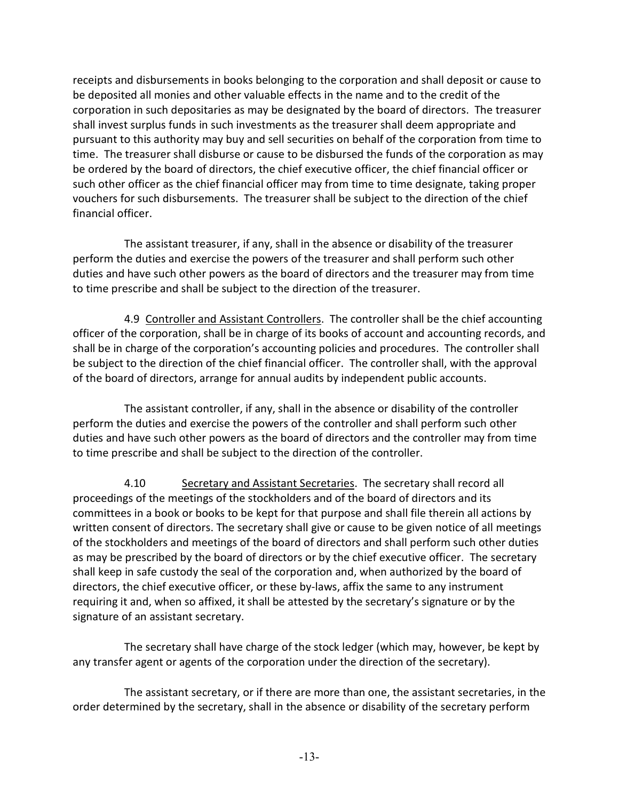receipts and disbursements in books belonging to the corporation and shall deposit or cause to be deposited all monies and other valuable effects in the name and to the credit of the corporation in such depositaries as may be designated by the board of directors. The treasurer shall invest surplus funds in such investments as the treasurer shall deem appropriate and pursuant to this authority may buy and sell securities on behalf of the corporation from time to time. The treasurer shall disburse or cause to be disbursed the funds of the corporation as may be ordered by the board of directors, the chief executive officer, the chief financial officer or such other officer as the chief financial officer may from time to time designate, taking proper vouchers for such disbursements. The treasurer shall be subject to the direction of the chief financial officer.

The assistant treasurer, if any, shall in the absence or disability of the treasurer perform the duties and exercise the powers of the treasurer and shall perform such other duties and have such other powers as the board of directors and the treasurer may from time to time prescribe and shall be subject to the direction of the treasurer.

4.9 Controller and Assistant Controllers. The controller shall be the chief accounting officer of the corporation, shall be in charge of its books of account and accounting records, and shall be in charge of the corporation's accounting policies and procedures. The controller shall be subject to the direction of the chief financial officer. The controller shall, with the approval of the board of directors, arrange for annual audits by independent public accounts.

The assistant controller, if any, shall in the absence or disability of the controller perform the duties and exercise the powers of the controller and shall perform such other duties and have such other powers as the board of directors and the controller may from time to time prescribe and shall be subject to the direction of the controller.

4.10 Secretary and Assistant Secretaries. The secretary shall record all proceedings of the meetings of the stockholders and of the board of directors and its committees in a book or books to be kept for that purpose and shall file therein all actions by written consent of directors. The secretary shall give or cause to be given notice of all meetings of the stockholders and meetings of the board of directors and shall perform such other duties as may be prescribed by the board of directors or by the chief executive officer. The secretary shall keep in safe custody the seal of the corporation and, when authorized by the board of directors, the chief executive officer, or these by-laws, affix the same to any instrument requiring it and, when so affixed, it shall be attested by the secretary's signature or by the signature of an assistant secretary.

The secretary shall have charge of the stock ledger (which may, however, be kept by any transfer agent or agents of the corporation under the direction of the secretary).

The assistant secretary, or if there are more than one, the assistant secretaries, in the order determined by the secretary, shall in the absence or disability of the secretary perform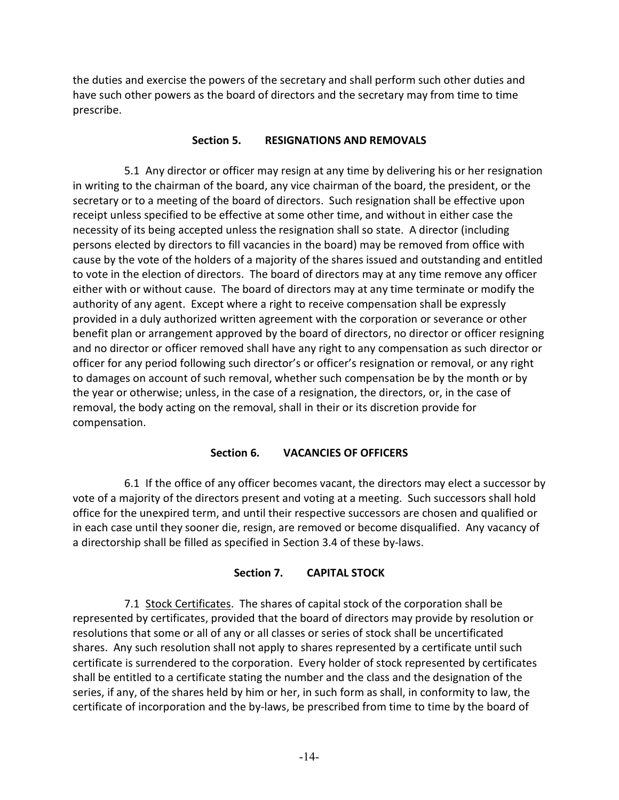the duties and exercise the powers of the secretary and shall perform such other duties and have such other powers as the board of directors and the secretary may from time to time prescribe.

#### **Section 5. RESIGNATIONS AND REMOVALS**

5.1 Any director or officer may resign at any time by delivering his or her resignation in writing to the chairman of the board, any vice chairman of the board, the president, or the secretary or to a meeting of the board of directors. Such resignation shall be effective upon receipt unless specified to be effective at some other time, and without in either case the necessity of its being accepted unless the resignation shall so state. A director (including persons elected by directors to fill vacancies in the board) may be removed from office with cause by the vote of the holders of a majority of the shares issued and outstanding and entitled to vote in the election of directors. The board of directors may at any time remove any officer either with or without cause. The board of directors may at any time terminate or modify the authority of any agent. Except where a right to receive compensation shall be expressly provided in a duly authorized written agreement with the corporation or severance or other benefit plan or arrangement approved by the board of directors, no director or officer resigning and no director or officer removed shall have any right to any compensation as such director or officer for any period following such director's or officer's resignation or removal, or any right to damages on account of such removal, whether such compensation be by the month or by the year or otherwise; unless, in the case of a resignation, the directors, or, in the case of removal, the body acting on the removal, shall in their or its discretion provide for compensation.

# **Section 6. VACANCIES OF OFFICERS**

6.1 If the office of any officer becomes vacant, the directors may elect a successor by vote of a majority of the directors present and voting at a meeting. Such successors shall hold office for the unexpired term, and until their respective successors are chosen and qualified or in each case until they sooner die, resign, are removed or become disqualified. Any vacancy of a directorship shall be filled as specified in Section 3.4 of these by-laws.

# **Section 7. CAPITAL STOCK**

7.1 Stock Certificates. The shares of capital stock of the corporation shall be represented by certificates, provided that the board of directors may provide by resolution or resolutions that some or all of any or all classes or series of stock shall be uncertificated shares. Any such resolution shall not apply to shares represented by a certificate until such certificate is surrendered to the corporation. Every holder of stock represented by certificates shall be entitled to a certificate stating the number and the class and the designation of the series, if any, of the shares held by him or her, in such form as shall, in conformity to law, the certificate of incorporation and the by-laws, be prescribed from time to time by the board of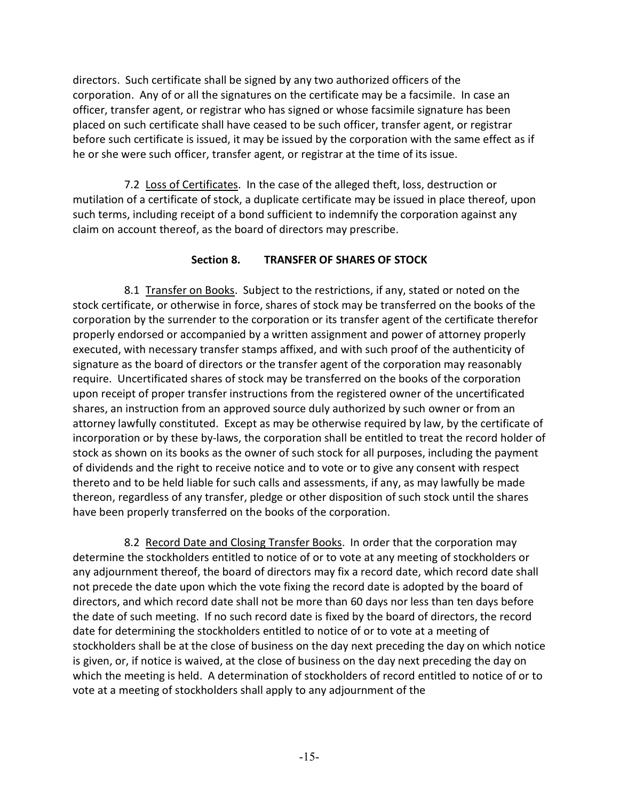directors. Such certificate shall be signed by any two authorized officers of the corporation. Any of or all the signatures on the certificate may be a facsimile. In case an officer, transfer agent, or registrar who has signed or whose facsimile signature has been placed on such certificate shall have ceased to be such officer, transfer agent, or registrar before such certificate is issued, it may be issued by the corporation with the same effect as if he or she were such officer, transfer agent, or registrar at the time of its issue.

7.2 Loss of Certificates. In the case of the alleged theft, loss, destruction or mutilation of a certificate of stock, a duplicate certificate may be issued in place thereof, upon such terms, including receipt of a bond sufficient to indemnify the corporation against any claim on account thereof, as the board of directors may prescribe.

# **Section 8. TRANSFER OF SHARES OF STOCK**

8.1 Transfer on Books. Subject to the restrictions, if any, stated or noted on the stock certificate, or otherwise in force, shares of stock may be transferred on the books of the corporation by the surrender to the corporation or its transfer agent of the certificate therefor properly endorsed or accompanied by a written assignment and power of attorney properly executed, with necessary transfer stamps affixed, and with such proof of the authenticity of signature as the board of directors or the transfer agent of the corporation may reasonably require. Uncertificated shares of stock may be transferred on the books of the corporation upon receipt of proper transfer instructions from the registered owner of the uncertificated shares, an instruction from an approved source duly authorized by such owner or from an attorney lawfully constituted. Except as may be otherwise required by law, by the certificate of incorporation or by these by-laws, the corporation shall be entitled to treat the record holder of stock as shown on its books as the owner of such stock for all purposes, including the payment of dividends and the right to receive notice and to vote or to give any consent with respect thereto and to be held liable for such calls and assessments, if any, as may lawfully be made thereon, regardless of any transfer, pledge or other disposition of such stock until the shares have been properly transferred on the books of the corporation.

8.2 Record Date and Closing Transfer Books. In order that the corporation may determine the stockholders entitled to notice of or to vote at any meeting of stockholders or any adjournment thereof, the board of directors may fix a record date, which record date shall not precede the date upon which the vote fixing the record date is adopted by the board of directors, and which record date shall not be more than 60 days nor less than ten days before the date of such meeting. If no such record date is fixed by the board of directors, the record date for determining the stockholders entitled to notice of or to vote at a meeting of stockholders shall be at the close of business on the day next preceding the day on which notice is given, or, if notice is waived, at the close of business on the day next preceding the day on which the meeting is held. A determination of stockholders of record entitled to notice of or to vote at a meeting of stockholders shall apply to any adjournment of the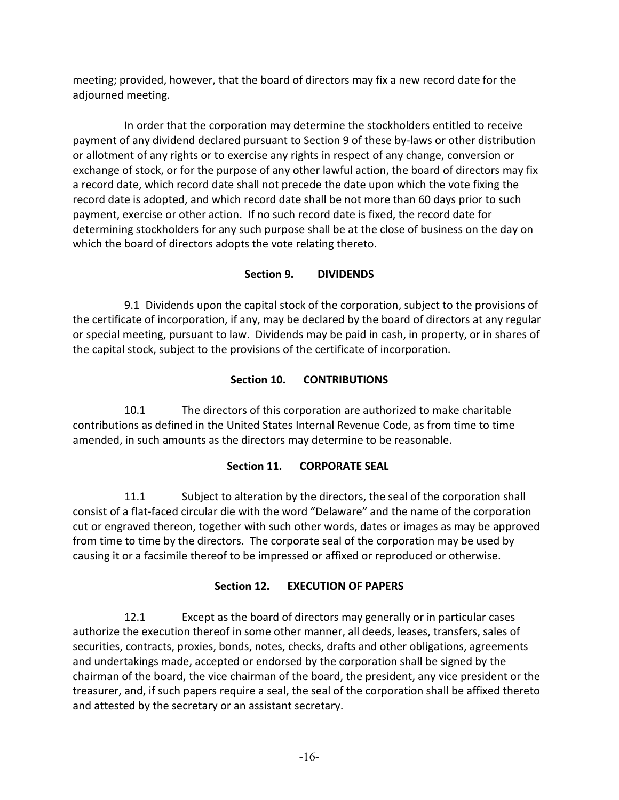meeting; provided, however, that the board of directors may fix a new record date for the adjourned meeting.

In order that the corporation may determine the stockholders entitled to receive payment of any dividend declared pursuant to Section 9 of these by-laws or other distribution or allotment of any rights or to exercise any rights in respect of any change, conversion or exchange of stock, or for the purpose of any other lawful action, the board of directors may fix a record date, which record date shall not precede the date upon which the vote fixing the record date is adopted, and which record date shall be not more than 60 days prior to such payment, exercise or other action. If no such record date is fixed, the record date for determining stockholders for any such purpose shall be at the close of business on the day on which the board of directors adopts the vote relating thereto.

# **Section 9. DIVIDENDS**

9.1 Dividends upon the capital stock of the corporation, subject to the provisions of the certificate of incorporation, if any, may be declared by the board of directors at any regular or special meeting, pursuant to law. Dividends may be paid in cash, in property, or in shares of the capital stock, subject to the provisions of the certificate of incorporation.

# **Section 10. CONTRIBUTIONS**

10.1 The directors of this corporation are authorized to make charitable contributions as defined in the United States Internal Revenue Code, as from time to time amended, in such amounts as the directors may determine to be reasonable.

# **Section 11. CORPORATE SEAL**

11.1 Subject to alteration by the directors, the seal of the corporation shall consist of a flat-faced circular die with the word "Delaware" and the name of the corporation cut or engraved thereon, together with such other words, dates or images as may be approved from time to time by the directors. The corporate seal of the corporation may be used by causing it or a facsimile thereof to be impressed or affixed or reproduced or otherwise.

# **Section 12. EXECUTION OF PAPERS**

12.1 Except as the board of directors may generally or in particular cases authorize the execution thereof in some other manner, all deeds, leases, transfers, sales of securities, contracts, proxies, bonds, notes, checks, drafts and other obligations, agreements and undertakings made, accepted or endorsed by the corporation shall be signed by the chairman of the board, the vice chairman of the board, the president, any vice president or the treasurer, and, if such papers require a seal, the seal of the corporation shall be affixed thereto and attested by the secretary or an assistant secretary.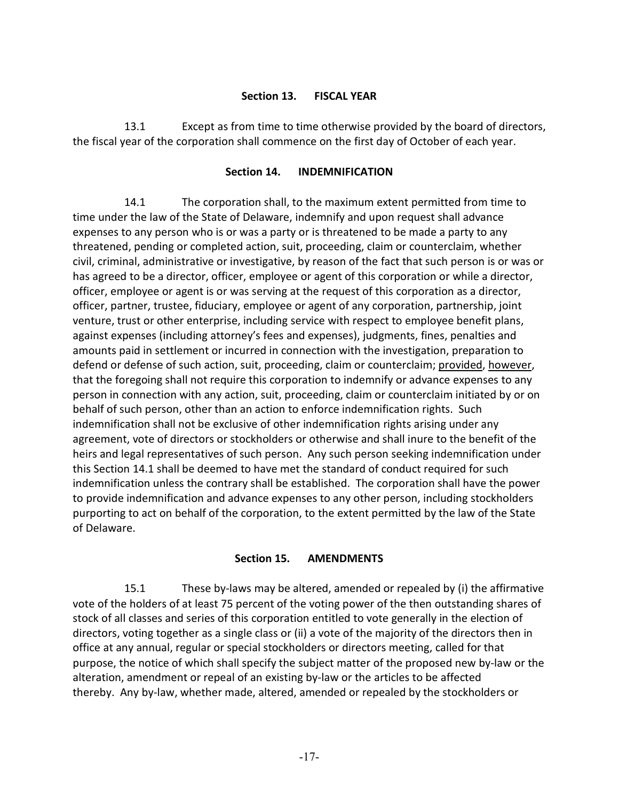#### **Section 13. FISCAL YEAR**

13.1 Except as from time to time otherwise provided by the board of directors, the fiscal year of the corporation shall commence on the first day of October of each year.

#### **Section 14. INDEMNIFICATION**

14.1 The corporation shall, to the maximum extent permitted from time to time under the law of the State of Delaware, indemnify and upon request shall advance expenses to any person who is or was a party or is threatened to be made a party to any threatened, pending or completed action, suit, proceeding, claim or counterclaim, whether civil, criminal, administrative or investigative, by reason of the fact that such person is or was or has agreed to be a director, officer, employee or agent of this corporation or while a director, officer, employee or agent is or was serving at the request of this corporation as a director, officer, partner, trustee, fiduciary, employee or agent of any corporation, partnership, joint venture, trust or other enterprise, including service with respect to employee benefit plans, against expenses (including attorney's fees and expenses), judgments, fines, penalties and amounts paid in settlement or incurred in connection with the investigation, preparation to defend or defense of such action, suit, proceeding, claim or counterclaim; provided, however, that the foregoing shall not require this corporation to indemnify or advance expenses to any person in connection with any action, suit, proceeding, claim or counterclaim initiated by or on behalf of such person, other than an action to enforce indemnification rights. Such indemnification shall not be exclusive of other indemnification rights arising under any agreement, vote of directors or stockholders or otherwise and shall inure to the benefit of the heirs and legal representatives of such person. Any such person seeking indemnification under this Section 14.1 shall be deemed to have met the standard of conduct required for such indemnification unless the contrary shall be established. The corporation shall have the power to provide indemnification and advance expenses to any other person, including stockholders purporting to act on behalf of the corporation, to the extent permitted by the law of the State of Delaware.

# **Section 15. AMENDMENTS**

15.1 These by-laws may be altered, amended or repealed by (i) the affirmative vote of the holders of at least 75 percent of the voting power of the then outstanding shares of stock of all classes and series of this corporation entitled to vote generally in the election of directors, voting together as a single class or (ii) a vote of the majority of the directors then in office at any annual, regular or special stockholders or directors meeting, called for that purpose, the notice of which shall specify the subject matter of the proposed new by-law or the alteration, amendment or repeal of an existing by-law or the articles to be affected thereby. Any by-law, whether made, altered, amended or repealed by the stockholders or